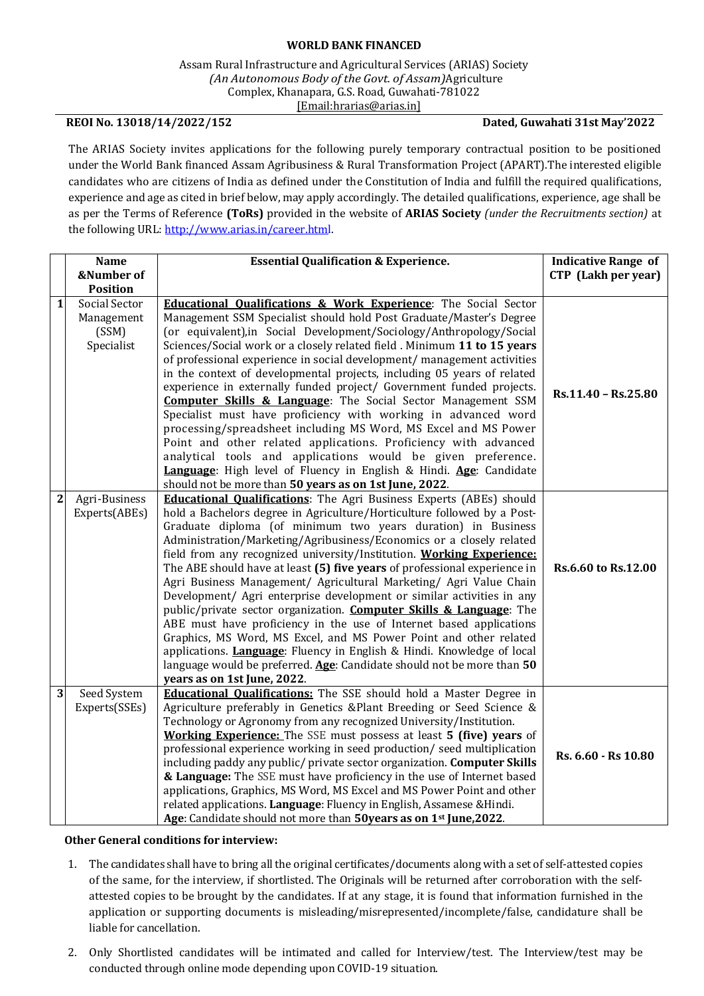## **WORLD BANK FINANCED**

Assam Rural Infrastructure and Agricultural Services (ARIAS) Society *(An Autonomous Body of the Govt. of Assam)*Agriculture Complex, Khanapara, G.S. Road, Guwahati-781022 [\[Email:hrarias@arias.in\]](mailto:recruitments@arias.in)

## **REOI No. 13018/14/2022/152 Dated, Guwahati 31st May'2022**

The ARIAS Society invites applications for the following purely temporary contractual position to be positioned under the World Bank financed Assam Agribusiness & Rural Transformation Project (APART).The interested eligible candidates who are citizens of India as defined under the Constitution of India and fulfill the required qualifications, experience and age as cited in brief below, may apply accordingly. The detailed qualifications, experience, age shall be as per the Terms of Reference **(ToRs)** provided in the website of **ARIAS Society** *(under the Recruitments section)* at the following URL: [http://www.arias.in/career.html.](http://www.arias.in/career.html)

|                | <b>Name</b>                      | <b>Essential Qualification &amp; Experience.</b>                                                                                                 | <b>Indicative Range of</b> |
|----------------|----------------------------------|--------------------------------------------------------------------------------------------------------------------------------------------------|----------------------------|
|                | &Number of                       |                                                                                                                                                  | CTP (Lakh per year)        |
| $\mathbf{1}$   | <b>Position</b><br>Social Sector | <b>Educational Qualifications &amp; Work Experience:</b> The Social Sector                                                                       |                            |
|                | Management                       | Management SSM Specialist should hold Post Graduate/Master's Degree                                                                              |                            |
|                | (SSM)                            | (or equivalent), in Social Development/Sociology/Anthropology/Social                                                                             |                            |
|                | Specialist                       | Sciences/Social work or a closely related field. Minimum 11 to 15 years                                                                          |                            |
|                |                                  | of professional experience in social development/ management activities                                                                          |                            |
|                |                                  | in the context of developmental projects, including 05 years of related                                                                          |                            |
|                |                                  | experience in externally funded project/ Government funded projects.                                                                             | Rs.11.40 - Rs.25.80        |
|                |                                  | <b>Computer Skills &amp; Language:</b> The Social Sector Management SSM                                                                          |                            |
|                |                                  | Specialist must have proficiency with working in advanced word                                                                                   |                            |
|                |                                  | processing/spreadsheet including MS Word, MS Excel and MS Power                                                                                  |                            |
|                |                                  | Point and other related applications. Proficiency with advanced<br>analytical tools and applications would be given preference.                  |                            |
|                |                                  | Language: High level of Fluency in English & Hindi. Age: Candidate                                                                               |                            |
|                |                                  | should not be more than 50 years as on 1st June, 2022.                                                                                           |                            |
| $\overline{2}$ | Agri-Business                    | <b>Educational Qualifications:</b> The Agri Business Experts (ABEs) should                                                                       |                            |
|                | Experts(ABEs)                    | hold a Bachelors degree in Agriculture/Horticulture followed by a Post-                                                                          |                            |
|                |                                  | Graduate diploma (of minimum two years duration) in Business                                                                                     |                            |
|                |                                  | Administration/Marketing/Agribusiness/Economics or a closely related                                                                             |                            |
|                |                                  | field from any recognized university/Institution. Working Experience:                                                                            |                            |
|                |                                  | The ABE should have at least (5) five years of professional experience in<br>Agri Business Management/ Agricultural Marketing/ Agri Value Chain  | Rs.6.60 to Rs.12.00        |
|                |                                  | Development/ Agri enterprise development or similar activities in any                                                                            |                            |
|                |                                  | public/private sector organization. <b>Computer Skills &amp; Language</b> : The                                                                  |                            |
|                |                                  | ABE must have proficiency in the use of Internet based applications                                                                              |                            |
|                |                                  | Graphics, MS Word, MS Excel, and MS Power Point and other related                                                                                |                            |
|                |                                  | applications. Language: Fluency in English & Hindi. Knowledge of local                                                                           |                            |
|                |                                  | language would be preferred. Age: Candidate should not be more than 50                                                                           |                            |
|                |                                  | years as on 1st June, 2022.                                                                                                                      |                            |
| 3              | Seed System                      | <b>Educational Qualifications:</b> The SSE should hold a Master Degree in                                                                        |                            |
|                | Experts(SSEs)                    | Agriculture preferably in Genetics &Plant Breeding or Seed Science &                                                                             |                            |
|                |                                  | Technology or Agronomy from any recognized University/Institution.<br><b>Working Experience:</b> The SSE must possess at least 5 (five) years of |                            |
|                |                                  | professional experience working in seed production/ seed multiplication                                                                          |                            |
|                |                                  | including paddy any public/ private sector organization. Computer Skills                                                                         | Rs. 6.60 - Rs 10.80        |
|                |                                  | & Language: The SSE must have proficiency in the use of Internet based                                                                           |                            |
|                |                                  | applications, Graphics, MS Word, MS Excel and MS Power Point and other                                                                           |                            |
|                |                                  | related applications. Language: Fluency in English, Assamese & Hindi.                                                                            |                            |
|                |                                  | Age: Candidate should not more than 50years as on 1st June, 2022.                                                                                |                            |

## **Other General conditions for interview:**

- 1. The candidates shall have to bring all the original certificates/documents along with a set of self-attested copies of the same, for the interview, if shortlisted. The Originals will be returned after corroboration with the selfattested copies to be brought by the candidates. If at any stage, it is found that information furnished in the application or supporting documents is misleading/misrepresented/incomplete/false, candidature shall be liable for cancellation.
- 2. Only Shortlisted candidates will be intimated and called for Interview/test. The Interview/test may be conducted through online mode depending upon COVID-19 situation.